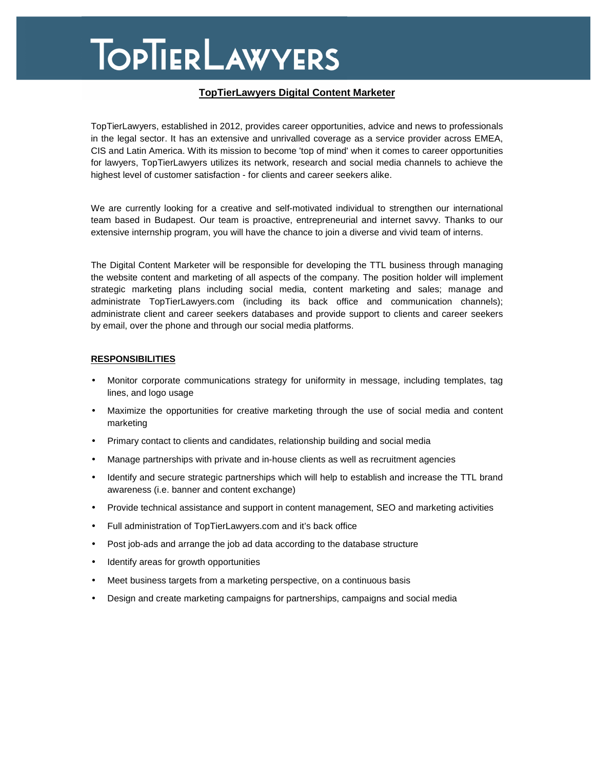## **TOPTIERLAWYERS**

### **TopTierLawyers Digital Content Marketer**

TopTierLawyers, established in 2012, provides career opportunities, advice and news to professionals in the legal sector. It has an extensive and unrivalled coverage as a service provider across EMEA, CIS and Latin America. With its mission to become 'top of mind' when it comes to career opportunities for lawyers, TopTierLawyers utilizes its network, research and social media channels to achieve the highest level of customer satisfaction - for clients and career seekers alike.

We are currently looking for a creative and self-motivated individual to strengthen our international team based in Budapest. Our team is proactive, entrepreneurial and internet savvy. Thanks to our extensive internship program, you will have the chance to join a diverse and vivid team of interns.

The Digital Content Marketer will be responsible for developing the TTL business through managing the website content and marketing of all aspects of the company. The position holder will implement strategic marketing plans including social media, content marketing and sales; manage and administrate TopTierLawyers.com (including its back office and communication channels); administrate client and career seekers databases and provide support to clients and career seekers by email, over the phone and through our social media platforms.

#### **RESPONSIBILITIES**

- Monitor corporate communications strategy for uniformity in message, including templates, tag lines, and logo usage
- Maximize the opportunities for creative marketing through the use of social media and content marketing
- Primary contact to clients and candidates, relationship building and social media
- Manage partnerships with private and in-house clients as well as recruitment agencies
- Identify and secure strategic partnerships which will help to establish and increase the TTL brand awareness (i.e. banner and content exchange)
- Provide technical assistance and support in content management, SEO and marketing activities
- Full administration of TopTierLawyers.com and it's back office
- Post job-ads and arrange the job ad data according to the database structure
- Identify areas for growth opportunities
- Meet business targets from a marketing perspective, on a continuous basis
- Design and create marketing campaigns for partnerships, campaigns and social media